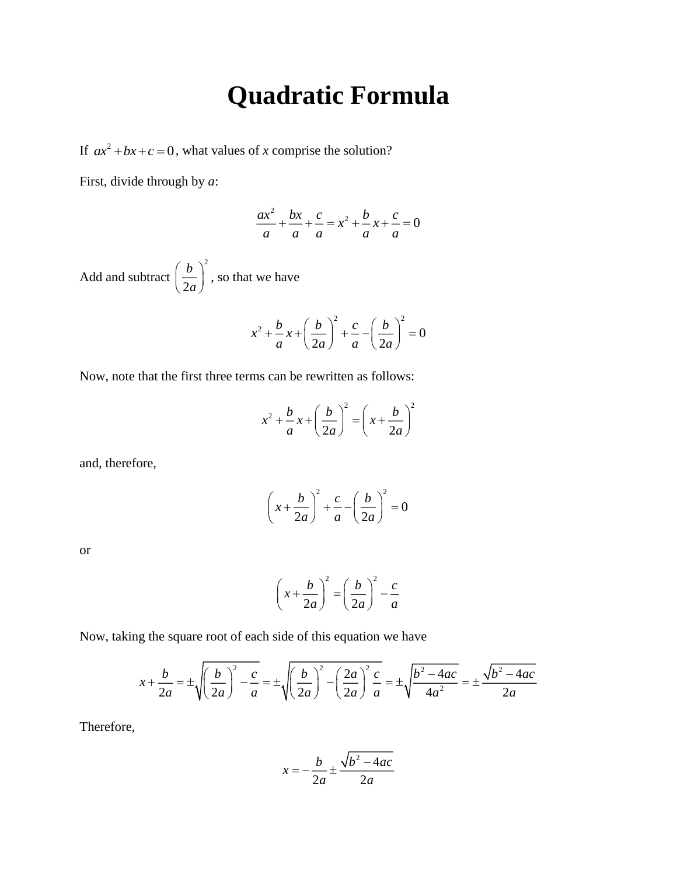## **Quadratic Formula**

If  $ax^2 + bx + c = 0$ , what values of *x* comprise the solution?

First, divide through by *a*:

$$
\frac{ax^2}{a} + \frac{bx}{a} + \frac{c}{a} = x^2 + \frac{b}{a}x + \frac{c}{a} = 0
$$

Add and subtract 2 2 *b*  $\left(\frac{b}{2a}\right)$ , so that we have

$$
x^{2} + \frac{b}{a}x + \left(\frac{b}{2a}\right)^{2} + \frac{c}{a} - \left(\frac{b}{2a}\right)^{2} = 0
$$

Now, note that the first three terms can be rewritten as follows:

$$
x^{2} + \frac{b}{a}x + \left(\frac{b}{2a}\right)^{2} = \left(x + \frac{b}{2a}\right)^{2}
$$

and, therefore,

$$
\left(x + \frac{b}{2a}\right)^2 + \frac{c}{a} - \left(\frac{b}{2a}\right)^2 = 0
$$

or

$$
\left(x + \frac{b}{2a}\right)^2 = \left(\frac{b}{2a}\right)^2 - \frac{c}{a}
$$

Now, taking the square root of each side of this equation we have

$$
x + \frac{b}{2a} = \pm \sqrt{\left(\frac{b}{2a}\right)^2 - \frac{c}{a}} = \pm \sqrt{\left(\frac{b}{2a}\right)^2 - \left(\frac{2a}{2a}\right)^2 \frac{c}{a}} = \pm \sqrt{\frac{b^2 - 4ac}{4a^2}} = \pm \frac{\sqrt{b^2 - 4ac}}{2a}
$$

Therefore,

$$
x = -\frac{b}{2a} \pm \frac{\sqrt{b^2 - 4ac}}{2a}
$$